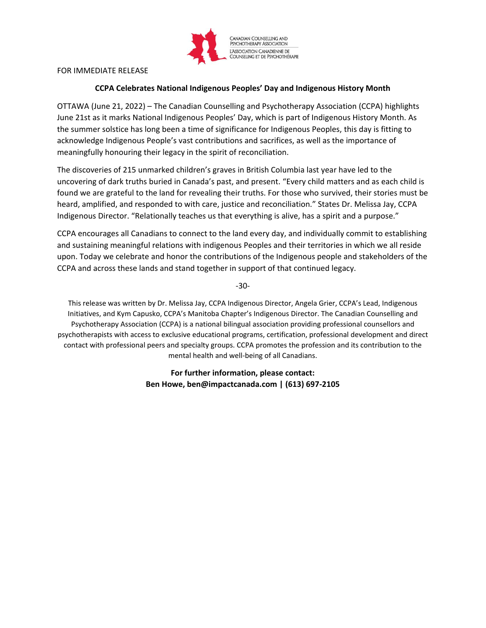

## FOR IMMEDIATE RELEASE

## **CCPA Celebrates National Indigenous Peoples' Day and Indigenous History Month**

OTTAWA (June 21, 2022) – The Canadian Counselling and Psychotherapy Association (CCPA) highlights June 21st as it marks National Indigenous Peoples' Day, which is part of Indigenous History Month. As the summer solstice has long been a time of significance for Indigenous Peoples, this day is fitting to acknowledge Indigenous People's vast contributions and sacrifices, as well as the importance of meaningfully honouring their legacy in the spirit of reconciliation.

The discoveries of 215 unmarked children's graves in British Columbia last year have led to the uncovering of dark truths buried in Canada's past, and present. "Every child matters and as each child is found we are grateful to the land for revealing their truths. For those who survived, their stories must be heard, amplified, and responded to with care, justice and reconciliation." States Dr. Melissa Jay, CCPA Indigenous Director. "Relationally teaches us that everything is alive, has a spirit and a purpose."

CCPA encourages all Canadians to connect to the land every day, and individually commit to establishing and sustaining meaningful relations with indigenous Peoples and their territories in which we all reside upon. Today we celebrate and honor the contributions of the Indigenous people and stakeholders of the CCPA and across these lands and stand together in support of that continued legacy.

-30-

This release was written by Dr. Melissa Jay, CCPA Indigenous Director, Angela Grier, CCPA's Lead, Indigenous Initiatives, and Kym Capusko, CCPA's Manitoba Chapter's Indigenous Director. The Canadian Counselling and Psychotherapy Association (CCPA) is a national bilingual association providing professional counsellors and psychotherapists with access to exclusive educational programs, certification, professional development and direct contact with professional peers and specialty groups. CCPA promotes the profession and its contribution to the mental health and well-being of all Canadians.

> **For further information, please contact: Ben Howe, ben@impactcanada.com | (613) 697-2105**